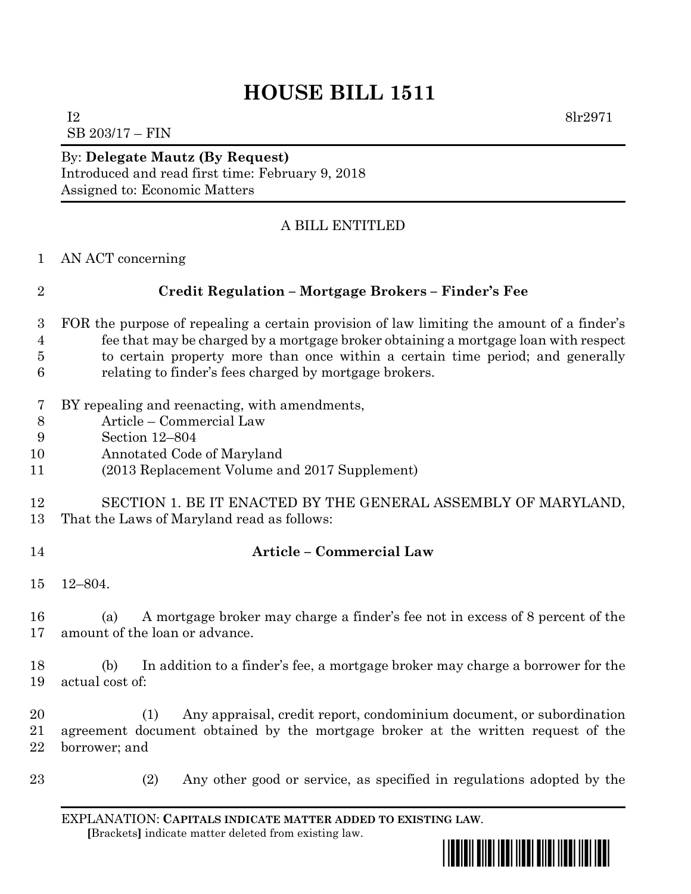# **HOUSE BILL 1511**

 $I2 \t\t 8lr2971$ SB 203/17 – FIN

#### By: **Delegate Mautz (By Request)** Introduced and read first time: February 9, 2018 Assigned to: Economic Matters

# A BILL ENTITLED

AN ACT concerning

# **Credit Regulation – Mortgage Brokers – Finder's Fee**

- FOR the purpose of repealing a certain provision of law limiting the amount of a finder's fee that may be charged by a mortgage broker obtaining a mortgage loan with respect to certain property more than once within a certain time period; and generally relating to finder's fees charged by mortgage brokers.
- BY repealing and reenacting, with amendments,
- Article Commercial Law
- Section 12–804
- Annotated Code of Maryland
- (2013 Replacement Volume and 2017 Supplement)

#### SECTION 1. BE IT ENACTED BY THE GENERAL ASSEMBLY OF MARYLAND, That the Laws of Maryland read as follows:

# **Article – Commercial Law**

12–804.

 (a) A mortgage broker may charge a finder's fee not in excess of 8 percent of the amount of the loan or advance.

 (b) In addition to a finder's fee, a mortgage broker may charge a borrower for the actual cost of:

 (1) Any appraisal, credit report, condominium document, or subordination agreement document obtained by the mortgage broker at the written request of the borrower; and

(2) Any other good or service, as specified in regulations adopted by the